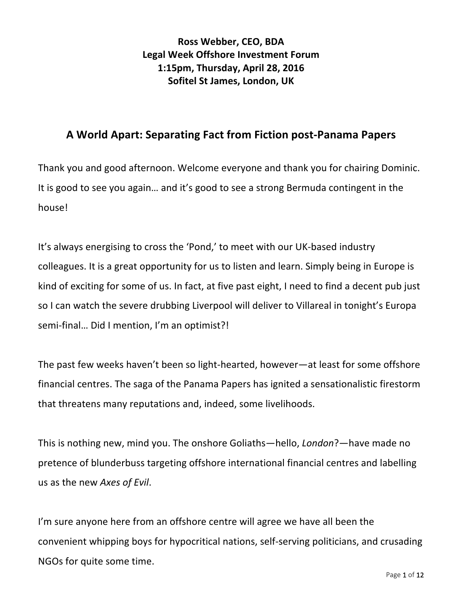**Ross Webber, CEO, BDA** Legal Week Offshore Investment Forum **1:15pm, Thursday, April 28, 2016 Sofitel St James, London, UK** 

## **A World Apart: Separating Fact from Fiction post-Panama Papers**

Thank you and good afternoon. Welcome everyone and thank you for chairing Dominic. It is good to see you again... and it's good to see a strong Bermuda contingent in the house!

It's always energising to cross the 'Pond,' to meet with our UK-based industry colleagues. It is a great opportunity for us to listen and learn. Simply being in Europe is kind of exciting for some of us. In fact, at five past eight, I need to find a decent pub just so I can watch the severe drubbing Liverpool will deliver to Villareal in tonight's Europa semi-final... Did I mention, I'm an optimist?!

The past few weeks haven't been so light-hearted, however—at least for some offshore financial centres. The saga of the Panama Papers has ignited a sensationalistic firestorm that threatens many reputations and, indeed, some livelihoods.

This is nothing new, mind you. The onshore Goliaths—hello, *London*?—have made no pretence of blunderbuss targeting offshore international financial centres and labelling us as the new Axes of Evil.

I'm sure anyone here from an offshore centre will agree we have all been the convenient whipping boys for hypocritical nations, self-serving politicians, and crusading NGOs for quite some time.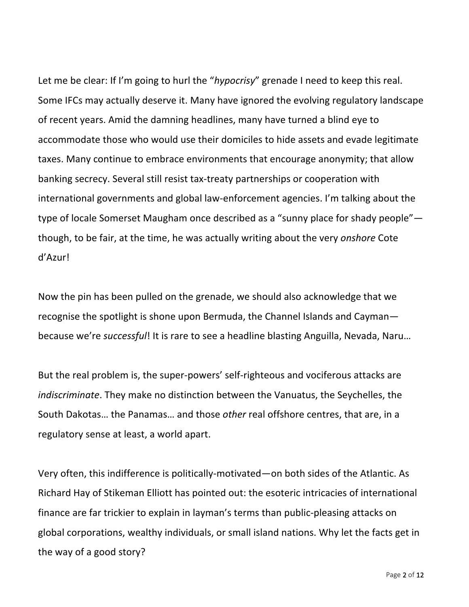Let me be clear: If I'm going to hurl the "hypocrisy" grenade I need to keep this real. Some IFCs may actually deserve it. Many have ignored the evolving regulatory landscape of recent years. Amid the damning headlines, many have turned a blind eye to accommodate those who would use their domiciles to hide assets and evade legitimate taxes. Many continue to embrace environments that encourage anonymity; that allow banking secrecy. Several still resist tax-treaty partnerships or cooperation with international governments and global law-enforcement agencies. I'm talking about the type of locale Somerset Maugham once described as a "sunny place for shady people" though, to be fair, at the time, he was actually writing about the very *onshore* Cote d'Azur!

Now the pin has been pulled on the grenade, we should also acknowledge that we recognise the spotlight is shone upon Bermuda, the Channel Islands and Caymanbecause we're *successful*! It is rare to see a headline blasting Anguilla, Nevada, Naru...

But the real problem is, the super-powers' self-righteous and vociferous attacks are *indiscriminate*. They make no distinction between the Vanuatus, the Seychelles, the South Dakotas... the Panamas... and those *other* real offshore centres, that are, in a regulatory sense at least, a world apart.

Very often, this indifference is politically-motivated—on both sides of the Atlantic. As Richard Hay of Stikeman Elliott has pointed out: the esoteric intricacies of international finance are far trickier to explain in layman's terms than public-pleasing attacks on global corporations, wealthy individuals, or small island nations. Why let the facts get in the way of a good story?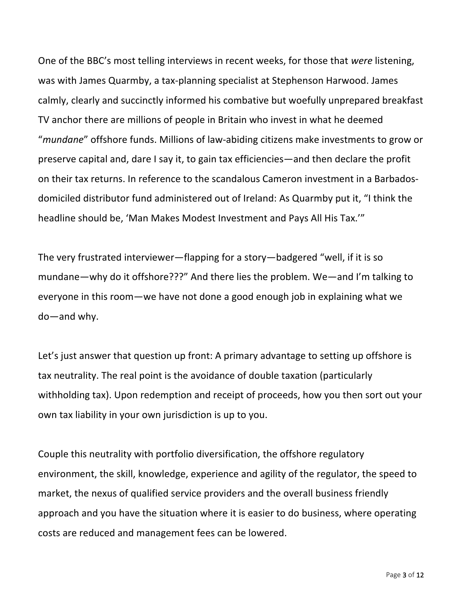One of the BBC's most telling interviews in recent weeks, for those that *were* listening, was with James Quarmby, a tax-planning specialist at Stephenson Harwood. James calmly, clearly and succinctly informed his combative but woefully unprepared breakfast TV anchor there are millions of people in Britain who invest in what he deemed "mundane" offshore funds. Millions of law-abiding citizens make investments to grow or preserve capital and, dare I say it, to gain tax efficiencies—and then declare the profit on their tax returns. In reference to the scandalous Cameron investment in a Barbadosdomiciled distributor fund administered out of Ireland: As Quarmby put it, "I think the headline should be, 'Man Makes Modest Investment and Pays All His Tax.'"

The very frustrated interviewer—flapping for a story—badgered "well, if it is so mundane—why do it offshore???" And there lies the problem. We—and I'm talking to everyone in this room—we have not done a good enough job in explaining what we  $do$ —and why.

Let's just answer that question up front: A primary advantage to setting up offshore is tax neutrality. The real point is the avoidance of double taxation (particularly withholding tax). Upon redemption and receipt of proceeds, how you then sort out your own tax liability in your own jurisdiction is up to you.

Couple this neutrality with portfolio diversification, the offshore regulatory environment, the skill, knowledge, experience and agility of the regulator, the speed to market, the nexus of qualified service providers and the overall business friendly approach and you have the situation where it is easier to do business, where operating costs are reduced and management fees can be lowered.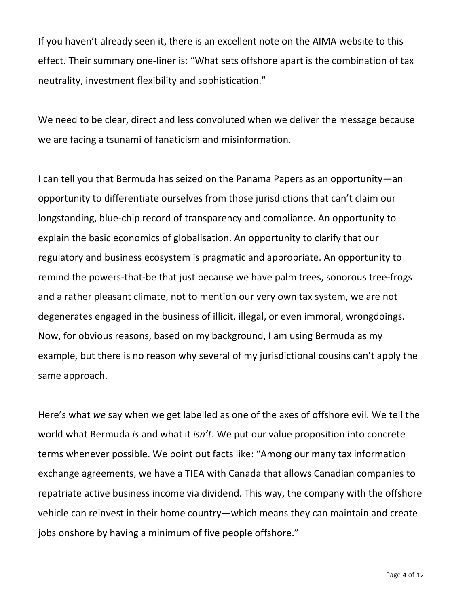If you haven't already seen it, there is an excellent note on the AIMA website to this effect. Their summary one-liner is: "What sets offshore apart is the combination of tax neutrality, investment flexibility and sophistication."

We need to be clear, direct and less convoluted when we deliver the message because we are facing a tsunami of fanaticism and misinformation.

I can tell you that Bermuda has seized on the Panama Papers as an opportunity—an opportunity to differentiate ourselves from those jurisdictions that can't claim our longstanding, blue-chip record of transparency and compliance. An opportunity to explain the basic economics of globalisation. An opportunity to clarify that our regulatory and business ecosystem is pragmatic and appropriate. An opportunity to remind the powers-that-be that just because we have palm trees, sonorous tree-frogs and a rather pleasant climate, not to mention our very own tax system, we are not degenerates engaged in the business of illicit, illegal, or even immoral, wrongdoings. Now, for obvious reasons, based on my background, I am using Bermuda as my example, but there is no reason why several of my jurisdictional cousins can't apply the same approach.

Here's what we say when we get labelled as one of the axes of offshore evil. We tell the world what Bermuda *is* and what it *isn't*. We put our value proposition into concrete terms whenever possible. We point out facts like: "Among our many tax information exchange agreements, we have a TIEA with Canada that allows Canadian companies to repatriate active business income via dividend. This way, the company with the offshore vehicle can reinvest in their home country—which means they can maintain and create jobs onshore by having a minimum of five people offshore."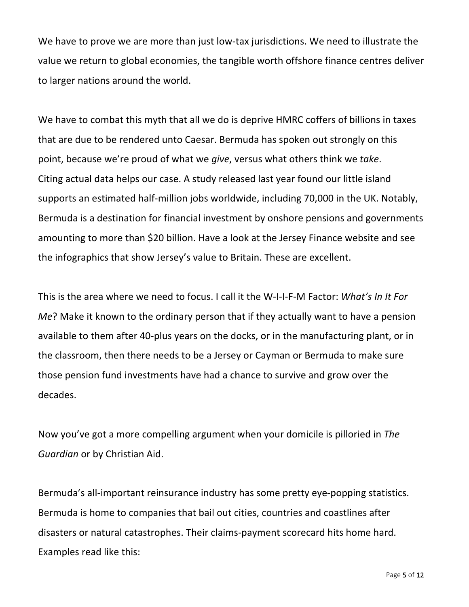We have to prove we are more than just low-tax jurisdictions. We need to illustrate the value we return to global economies, the tangible worth offshore finance centres deliver to larger nations around the world.

We have to combat this myth that all we do is deprive HMRC coffers of billions in taxes that are due to be rendered unto Caesar. Bermuda has spoken out strongly on this point, because we're proud of what we *give*, versus what others think we take. Citing actual data helps our case. A study released last year found our little island supports an estimated half-million jobs worldwide, including 70,000 in the UK. Notably, Bermuda is a destination for financial investment by onshore pensions and governments amounting to more than \$20 billion. Have a look at the Jersey Finance website and see the infographics that show Jersey's value to Britain. These are excellent.

This is the area where we need to focus. I call it the W-I-I-F-M Factor: *What's In It For Me*? Make it known to the ordinary person that if they actually want to have a pension available to them after 40-plus years on the docks, or in the manufacturing plant, or in the classroom, then there needs to be a Jersey or Cayman or Bermuda to make sure those pension fund investments have had a chance to survive and grow over the decades.

Now you've got a more compelling argument when your domicile is pilloried in *The Guardian* or by Christian Aid.

Bermuda's all-important reinsurance industry has some pretty eye-popping statistics. Bermuda is home to companies that bail out cities, countries and coastlines after disasters or natural catastrophes. Their claims-payment scorecard hits home hard. Examples read like this: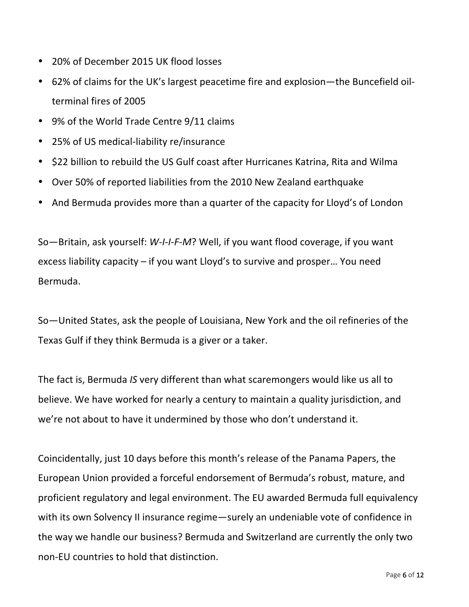- 20% of December 2015 UK flood losses
- 62% of claims for the UK's largest peacetime fire and explosion—the Buncefield oilterminal fires of 2005
- 9% of the World Trade Centre 9/11 claims
- 25% of US medical-liability re/insurance
- \$22 billion to rebuild the US Gulf coast after Hurricanes Katrina, Rita and Wilma
- Over 50% of reported liabilities from the 2010 New Zealand earthquake
- And Bermuda provides more than a quarter of the capacity for Lloyd's of London

So-Britain, ask yourself: W-I-I-F-M? Well, if you want flood coverage, if you want excess liability capacity  $-$  if you want Lloyd's to survive and prosper... You need Bermuda.

So—United States, ask the people of Louisiana, New York and the oil refineries of the Texas Gulf if they think Bermuda is a giver or a taker.

The fact is, Bermuda *IS* very different than what scaremongers would like us all to believe. We have worked for nearly a century to maintain a quality jurisdiction, and we're not about to have it undermined by those who don't understand it.

Coincidentally, just 10 days before this month's release of the Panama Papers, the European Union provided a forceful endorsement of Bermuda's robust, mature, and proficient regulatory and legal environment. The EU awarded Bermuda full equivalency with its own Solvency II insurance regime—surely an undeniable vote of confidence in the way we handle our business? Bermuda and Switzerland are currently the only two non-EU countries to hold that distinction.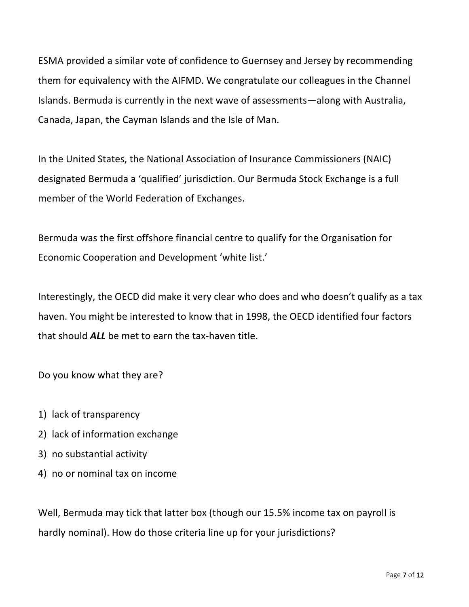ESMA provided a similar vote of confidence to Guernsey and Jersey by recommending them for equivalency with the AIFMD. We congratulate our colleagues in the Channel Islands. Bermuda is currently in the next wave of assessments—along with Australia, Canada, Japan, the Cayman Islands and the Isle of Man.

In the United States, the National Association of Insurance Commissioners (NAIC) designated Bermuda a 'qualified' jurisdiction. Our Bermuda Stock Exchange is a full member of the World Federation of Exchanges.

Bermuda was the first offshore financial centre to qualify for the Organisation for Economic Cooperation and Development 'white list.'

Interestingly, the OECD did make it very clear who does and who doesn't qualify as a tax haven. You might be interested to know that in 1998, the OECD identified four factors that should **ALL** be met to earn the tax-haven title.

Do you know what they are?

- 1) lack of transparency
- 2) lack of information exchange
- 3) no substantial activity
- 4) no or nominal tax on income

Well, Bermuda may tick that latter box (though our 15.5% income tax on payroll is hardly nominal). How do those criteria line up for your jurisdictions?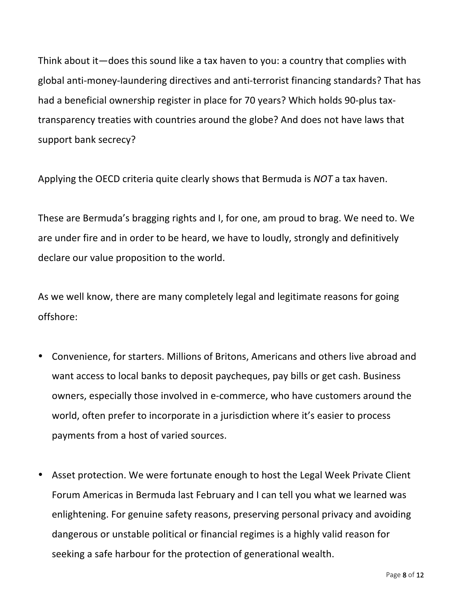Think about it—does this sound like a tax haven to you: a country that complies with global anti-money-laundering directives and anti-terrorist financing standards? That has had a beneficial ownership register in place for 70 years? Which holds 90-plus taxtransparency treaties with countries around the globe? And does not have laws that support bank secrecy?

Applying the OECD criteria quite clearly shows that Bermuda is *NOT* a tax haven.

These are Bermuda's bragging rights and I, for one, am proud to brag. We need to. We are under fire and in order to be heard, we have to loudly, strongly and definitively declare our value proposition to the world.

As we well know, there are many completely legal and legitimate reasons for going offshore:

- Convenience, for starters. Millions of Britons, Americans and others live abroad and want access to local banks to deposit paycheques, pay bills or get cash. Business owners, especially those involved in e-commerce, who have customers around the world, often prefer to incorporate in a jurisdiction where it's easier to process payments from a host of varied sources.
- Asset protection. We were fortunate enough to host the Legal Week Private Client Forum Americas in Bermuda last February and I can tell you what we learned was enlightening. For genuine safety reasons, preserving personal privacy and avoiding dangerous or unstable political or financial regimes is a highly valid reason for seeking a safe harbour for the protection of generational wealth.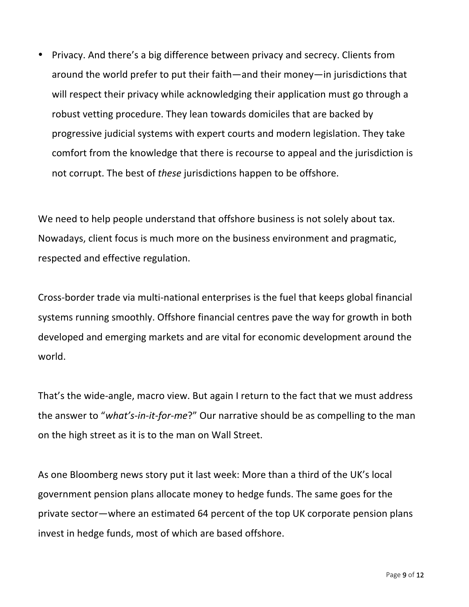• Privacy. And there's a big difference between privacy and secrecy. Clients from around the world prefer to put their faith—and their money—in jurisdictions that will respect their privacy while acknowledging their application must go through a robust vetting procedure. They lean towards domiciles that are backed by progressive judicial systems with expert courts and modern legislation. They take comfort from the knowledge that there is recourse to appeal and the jurisdiction is not corrupt. The best of *these* jurisdictions happen to be offshore.

We need to help people understand that offshore business is not solely about tax. Nowadays, client focus is much more on the business environment and pragmatic, respected and effective regulation.

Cross-border trade via multi-national enterprises is the fuel that keeps global financial systems running smoothly. Offshore financial centres pave the way for growth in both developed and emerging markets and are vital for economic development around the world.

That's the wide-angle, macro view. But again I return to the fact that we must address the answer to "what's-in-it-for-me?" Our narrative should be as compelling to the man on the high street as it is to the man on Wall Street.

As one Bloomberg news story put it last week: More than a third of the UK's local government pension plans allocate money to hedge funds. The same goes for the private sector—where an estimated 64 percent of the top UK corporate pension plans invest in hedge funds, most of which are based offshore.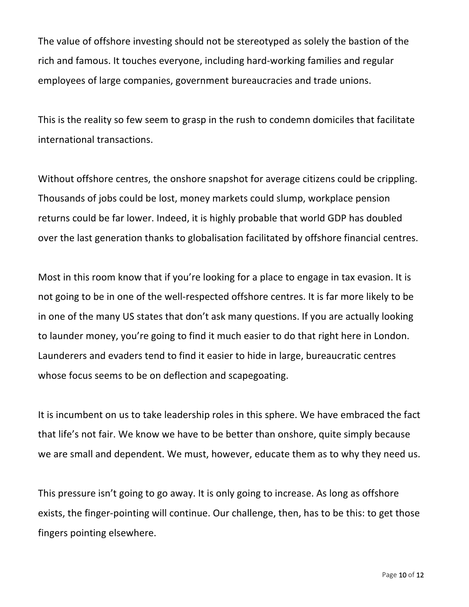The value of offshore investing should not be stereotyped as solely the bastion of the rich and famous. It touches everyone, including hard-working families and regular employees of large companies, government bureaucracies and trade unions.

This is the reality so few seem to grasp in the rush to condemn domiciles that facilitate international transactions.

Without offshore centres, the onshore snapshot for average citizens could be crippling. Thousands of jobs could be lost, money markets could slump, workplace pension returns could be far lower. Indeed, it is highly probable that world GDP has doubled over the last generation thanks to globalisation facilitated by offshore financial centres.

Most in this room know that if you're looking for a place to engage in tax evasion. It is not going to be in one of the well-respected offshore centres. It is far more likely to be in one of the many US states that don't ask many questions. If you are actually looking to launder money, you're going to find it much easier to do that right here in London. Launderers and evaders tend to find it easier to hide in large, bureaucratic centres whose focus seems to be on deflection and scapegoating.

It is incumbent on us to take leadership roles in this sphere. We have embraced the fact that life's not fair. We know we have to be better than onshore, quite simply because we are small and dependent. We must, however, educate them as to why they need us.

This pressure isn't going to go away. It is only going to increase. As long as offshore exists, the finger-pointing will continue. Our challenge, then, has to be this: to get those fingers pointing elsewhere.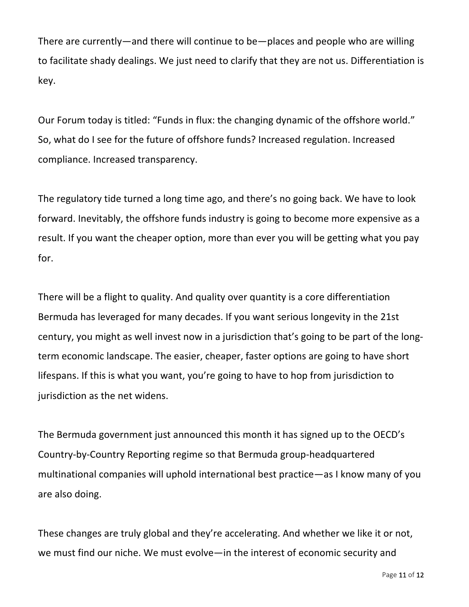There are currently—and there will continue to be—places and people who are willing to facilitate shady dealings. We just need to clarify that they are not us. Differentiation is key.

Our Forum today is titled: "Funds in flux: the changing dynamic of the offshore world." So, what do I see for the future of offshore funds? Increased regulation. Increased compliance. Increased transparency.

The regulatory tide turned a long time ago, and there's no going back. We have to look forward. Inevitably, the offshore funds industry is going to become more expensive as a result. If you want the cheaper option, more than ever you will be getting what you pay for.

There will be a flight to quality. And quality over quantity is a core differentiation Bermuda has leveraged for many decades. If you want serious longevity in the 21st century, you might as well invest now in a jurisdiction that's going to be part of the longterm economic landscape. The easier, cheaper, faster options are going to have short lifespans. If this is what you want, you're going to have to hop from jurisdiction to jurisdiction as the net widens.

The Bermuda government just announced this month it has signed up to the OECD's Country-by-Country Reporting regime so that Bermuda group-headquartered multinational companies will uphold international best practice—as I know many of you are also doing.

These changes are truly global and they're accelerating. And whether we like it or not, we must find our niche. We must evolve—in the interest of economic security and